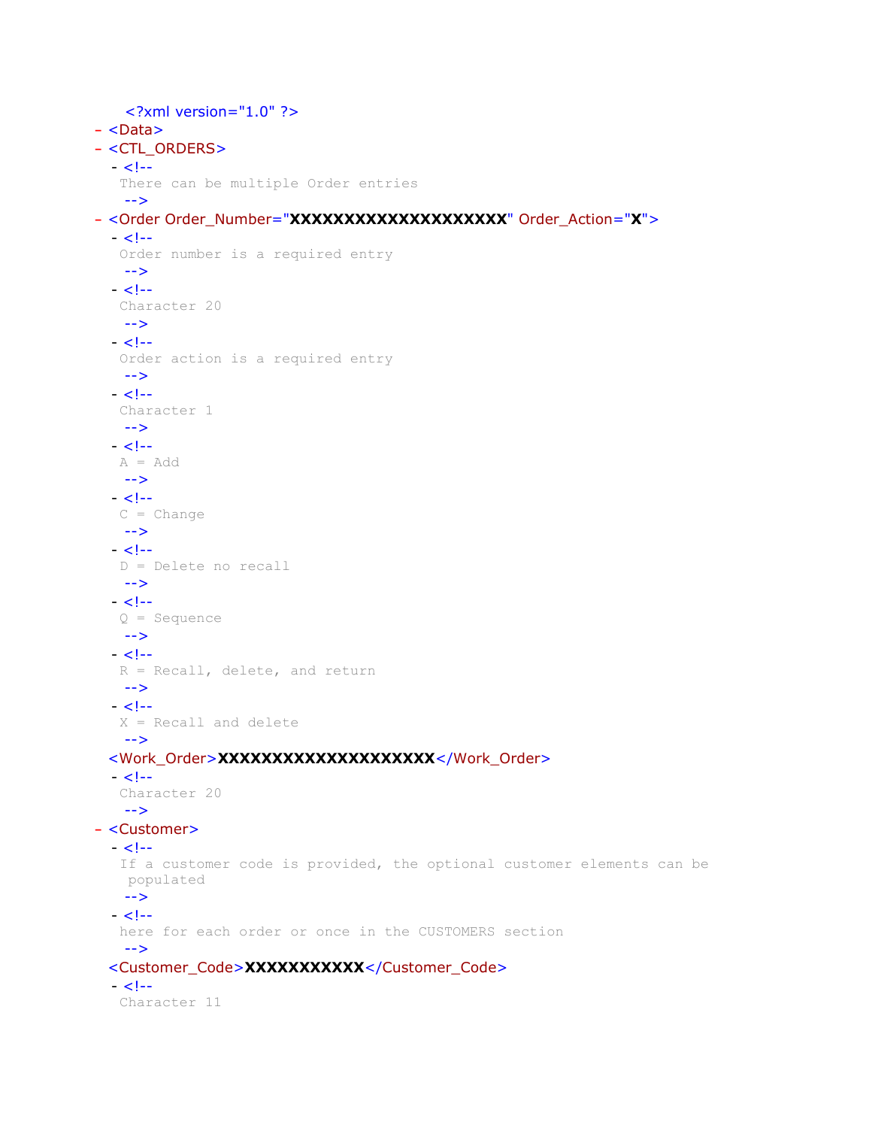```
<?xml version="1.0" ?> 
- <Data>
- <CTL_ORDERS>
  - < 1 - There can be multiple Order entries 
   --> 
- <Order Order_Number="XXXXXXXXXXXXXXXXXXXX" Order_Action="X">
  - < 1 - Order number is a required entry 
   --> 
  - < 1 - Character 20 
   --> 
  - < 1 - Order action is a required entry 
   --> 
  - < 1 - - Character 1 
   --> 
  - <!-A = Add--> 
  - < 1 -C = Change--> 
  - <!- D = Delete no recall 
   --> 
  - < 1 - Q = Sequence 
   --> 
  - < 1 - R = Recall, delete, and return 
   --> 
  - <!- X = Recall and delete 
   --> 
 <Work_Order>XXXXXXXXXXXXXXXXXXXX</Work_Order> 
  - < 1 - Character 20 
   --> 
- <Customer>
  - < 1 - If a customer code is provided, the optional customer elements can be 
   populated 
   --> 
  - < 1 - here for each order or once in the CUSTOMERS section 
   --> 
 <Customer_Code>XXXXXXXXXXX</Customer_Code> 
  - < 1 - 1 Character 11
```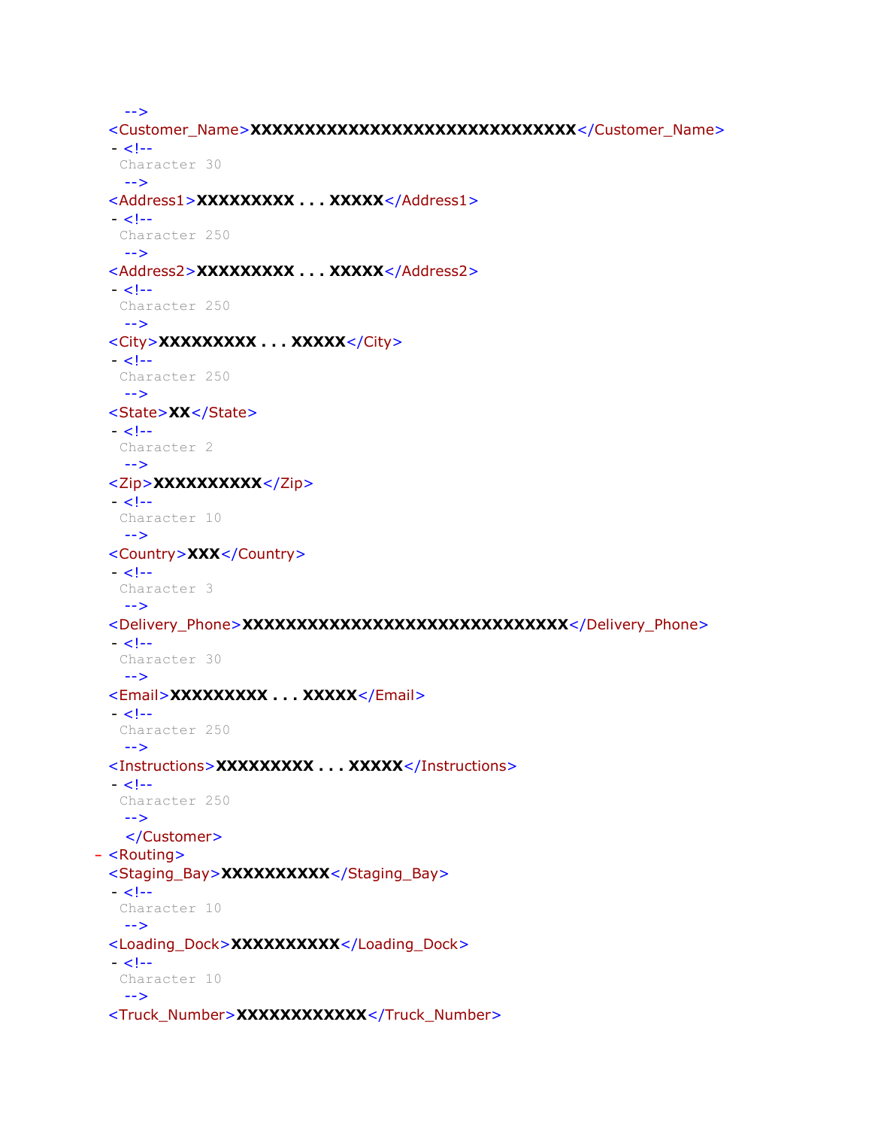```
--> 
 <Customer_Name>XXXXXXXXXXXXXXXXXXXXXXXXXXXXXX</Customer_Name> 
  - < 1 - Character 30 
   --> 
 <Address1>XXXXXXXXX . . . XXXXX</Address1> 
  - < 1 - 1 Character 250 
   --> 
 <Address2>XXXXXXXXX . . . XXXXX</Address2> 
 - < 1 - Character 250 
   --> 
 <City>XXXXXXXXX . . . XXXXX</City> 
 - <!- Character 250 
   --> 
 <State>XX</State> 
 - < 1 - Character 2 
   --> 
 <Zip>XXXXXXXXXX</Zip> 
 - <!- Character 10 
   --> 
 <Country>XXX</Country> 
 - < 1 - - Character 3 
   --> 
 <Delivery_Phone>XXXXXXXXXXXXXXXXXXXXXXXXXXXXXX</Delivery_Phone> 
 - < 1 - Character 30 
   --> 
 <Email>XXXXXXXXX . . . XXXXX</Email> 
 - < 1 - Character 250 
   --> 
 <Instructions>XXXXXXXXX . . . XXXXX</Instructions> 
 - < 1 - Character 250 
   --> 
   </Customer>
- <Routing>
 <Staging_Bay>XXXXXXXXXX</Staging_Bay> 
 - < 1 - Character 10 
   --> 
 <Loading_Dock>XXXXXXXXXX</Loading_Dock> 
  - < 1 - Character 10 
   --> 
 <Truck_Number>XXXXXXXXXXXX</Truck_Number>
```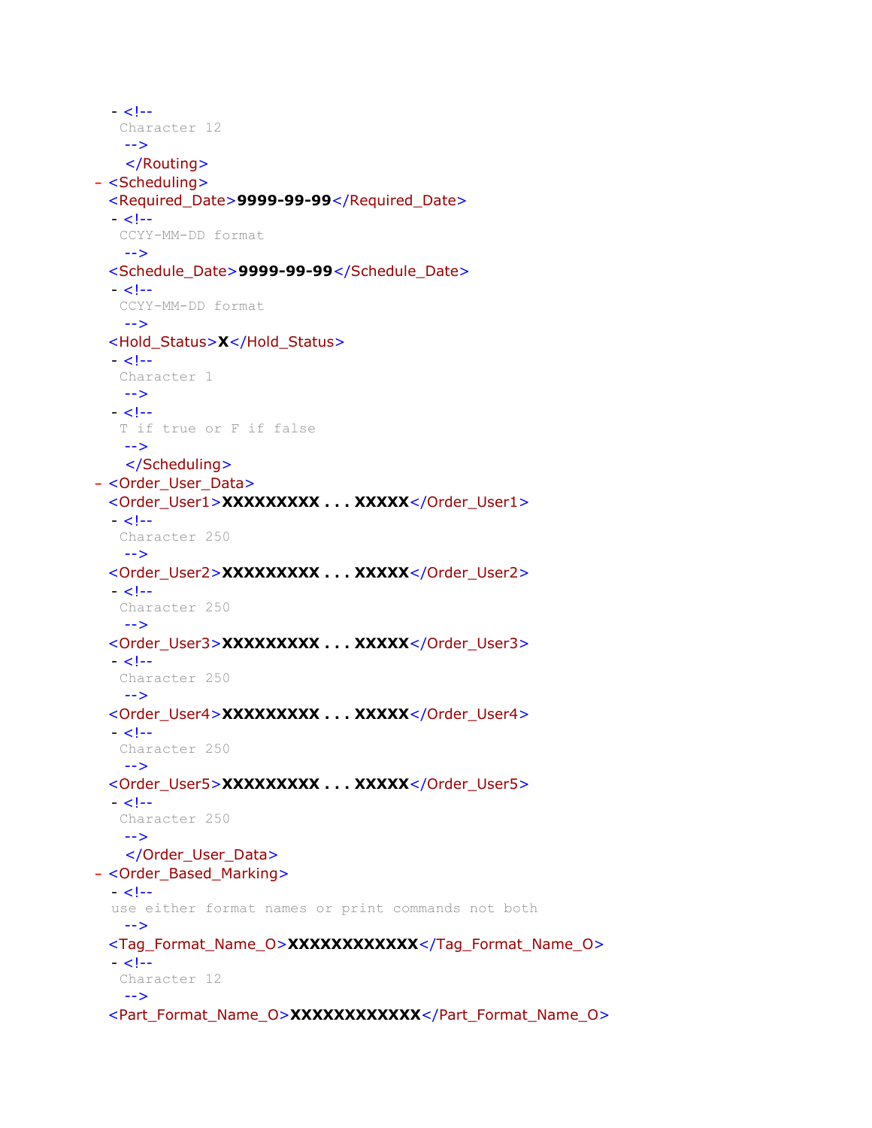```
- <!- Character 12 
   --> 
   </Routing>
- <Scheduling>
 <Required_Date>9999-99-99</Required_Date> 
 - < 1--
   CCYY-MM-DD format 
   --> 
 <Schedule_Date>9999-99-99</Schedule_Date> 
 - < 1 - CCYY-MM-DD format 
   --> 
 <Hold_Status>X</Hold_Status> 
  - <!- Character 1 
   --> 
  - < 1 - 1 T if true or F if false 
   --> 
   </Scheduling>
- <Order_User_Data>
 <Order_User1>XXXXXXXXX . . . XXXXX</Order_User1> 
 - < 1 - - Character 250 
   --> 
 <Order_User2>XXXXXXXXX . . . XXXXX</Order_User2> 
 - < 1 - Character 250 
   --> 
 <Order_User3>XXXXXXXXX . . . XXXXX</Order_User3> 
  - < 1 - Character 250 
   --> 
 <Order_User4>XXXXXXXXX . . . XXXXX</Order_User4> 
 - <!- Character 250 
   --> 
 <Order_User5>XXXXXXXXX . . . XXXXX</Order_User5> 
 - <!- Character 250 
   --> 
   </Order_User_Data>
- <Order_Based_Marking>
 - < 1 -use either format names or print commands not both 
   --> 
 <Tag_Format_Name_O>XXXXXXXXXXXX</Tag_Format_Name_O> 
  - < 1 - Character 12 
   --> 
 <Part_Format_Name_O>XXXXXXXXXXXX</Part_Format_Name_O>
```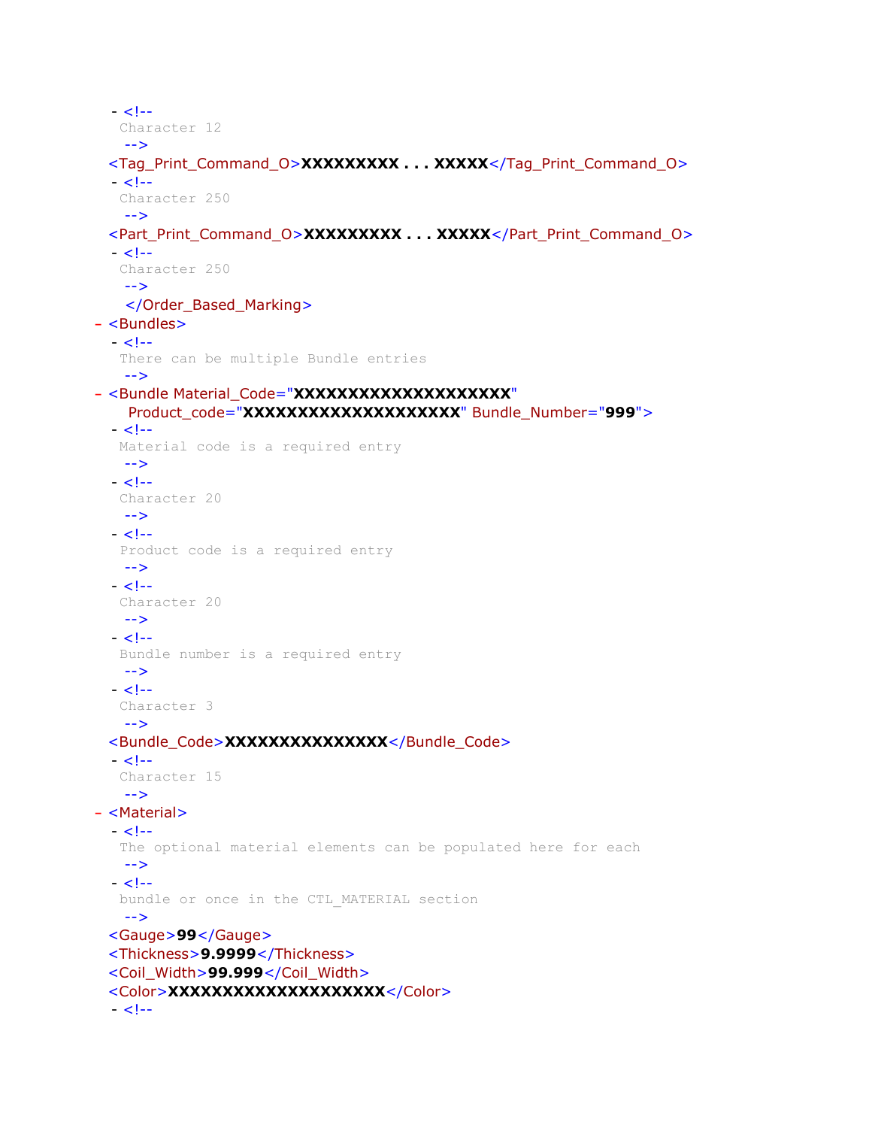```
- < 1 - Character 12 
   --> 
 <Tag_Print_Command_O>XXXXXXXXX . . . XXXXX</Tag_Print_Command_O> 
 - < 1 - Character 250 
   --> 
 <Part_Print_Command_O>XXXXXXXXX . . . XXXXX</Part_Print_Command_O> 
  - <!- Character 250 
   --> 
   </Order_Based_Marking>
- <Bundles>
 - < 1 - There can be multiple Bundle entries 
   --> 
- <Bundle Material_Code="XXXXXXXXXXXXXXXXXXXX"
    Product_code="XXXXXXXXXXXXXXXXXXXX" Bundle_Number="999">
  - < 1 - Material code is a required entry 
   --> 
  - < 1 - 1 Character 20 
   --> 
 - <!- Product code is a required entry 
   --> 
  - <!- Character 20 
   --> 
  - < 1 - 1 Bundle number is a required entry 
   --> 
  - < 1 - Character 3 
   --> 
 <Bundle_Code>XXXXXXXXXXXXXXX</Bundle_Code> 
 - < 1 - Character 15 
   --> 
- <Material>
  - < 1 - The optional material elements can be populated here for each 
   --> 
  - <!- bundle or once in the CTL_MATERIAL section 
   --> 
 <Gauge>99</Gauge> 
 <Thickness>9.9999</Thickness> 
 <Coil_Width>99.999</Coil_Width> 
 <Color>XXXXXXXXXXXXXXXXXXXX</Color> 
  - < 1 -
```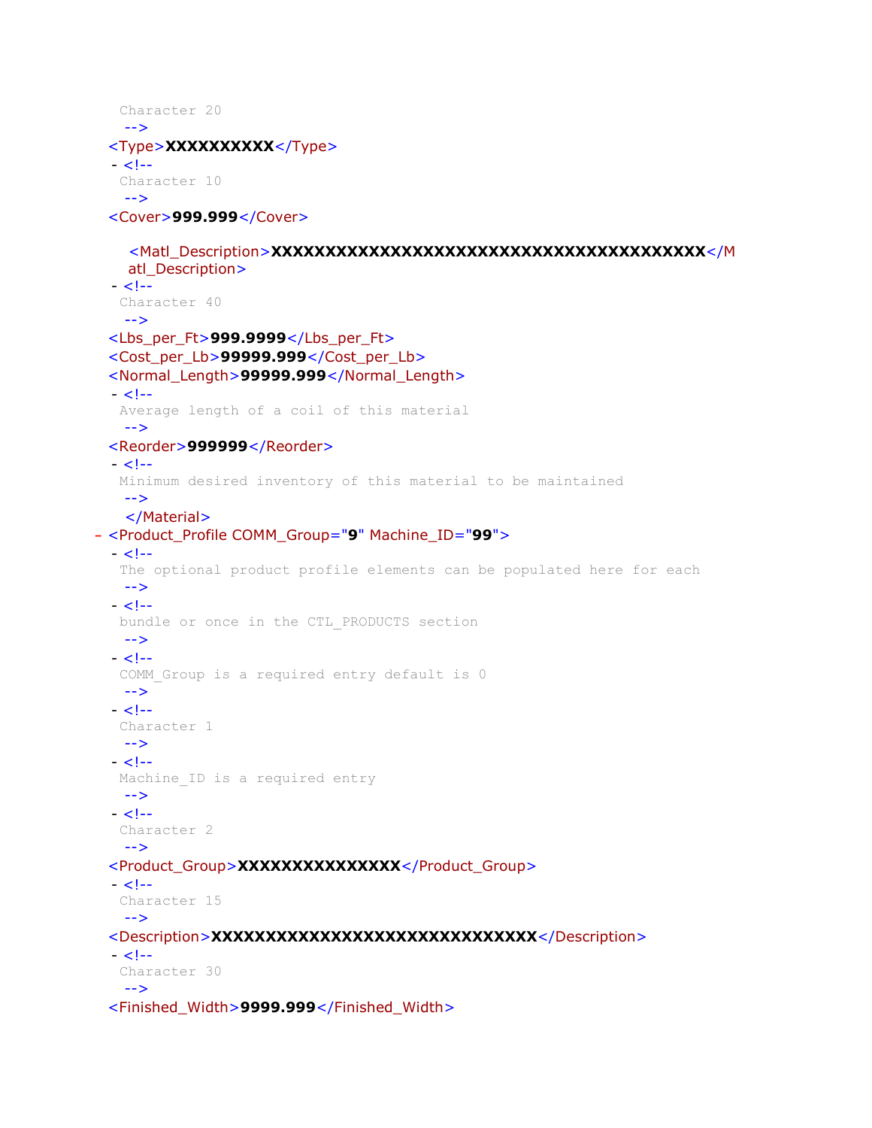```
 Character 20 
   --> 
 <Type>XXXXXXXXXX</Type> 
  - < 1 - Character 10 
   --> 
 <Cover>999.999</Cover> 
    <Matl_Description>XXXXXXXXXXXXXXXXXXXXXXXXXXXXXXXXXXXXXXXX</M
   atl_Description> 
 - < 1 - Character 40 
   --> 
 <Lbs_per_Ft>999.9999</Lbs_per_Ft> 
 <Cost_per_Lb>99999.999</Cost_per_Lb> 
 <Normal_Length>99999.999</Normal_Length> 
 - < 1 - Average length of a coil of this material 
   --> 
 <Reorder>999999</Reorder> 
  - < 1 - Minimum desired inventory of this material to be maintained 
   --> 
   </Material>
- <Product_Profile COMM_Group="9" Machine_ID="99">
 - < 1 - - The optional product profile elements can be populated here for each 
   --> 
  - < 1 - bundle or once in the CTL_PRODUCTS section 
   --> 
  - < 1 -COMM Group is a required entry default is 0
   --> 
 - <!- Character 1 
   --> 
  - < 1 -Machine ID is a required entry
   --> 
  - < 1 - Character 2 
   --> 
 <Product_Group>XXXXXXXXXXXXXXX</Product_Group> 
  - < 1 - Character 15 
   --> 
 <Description>XXXXXXXXXXXXXXXXXXXXXXXXXXXXXX</Description> 
  - < 1 - 1 Character 30 
   --> 
 <Finished_Width>9999.999</Finished_Width>
```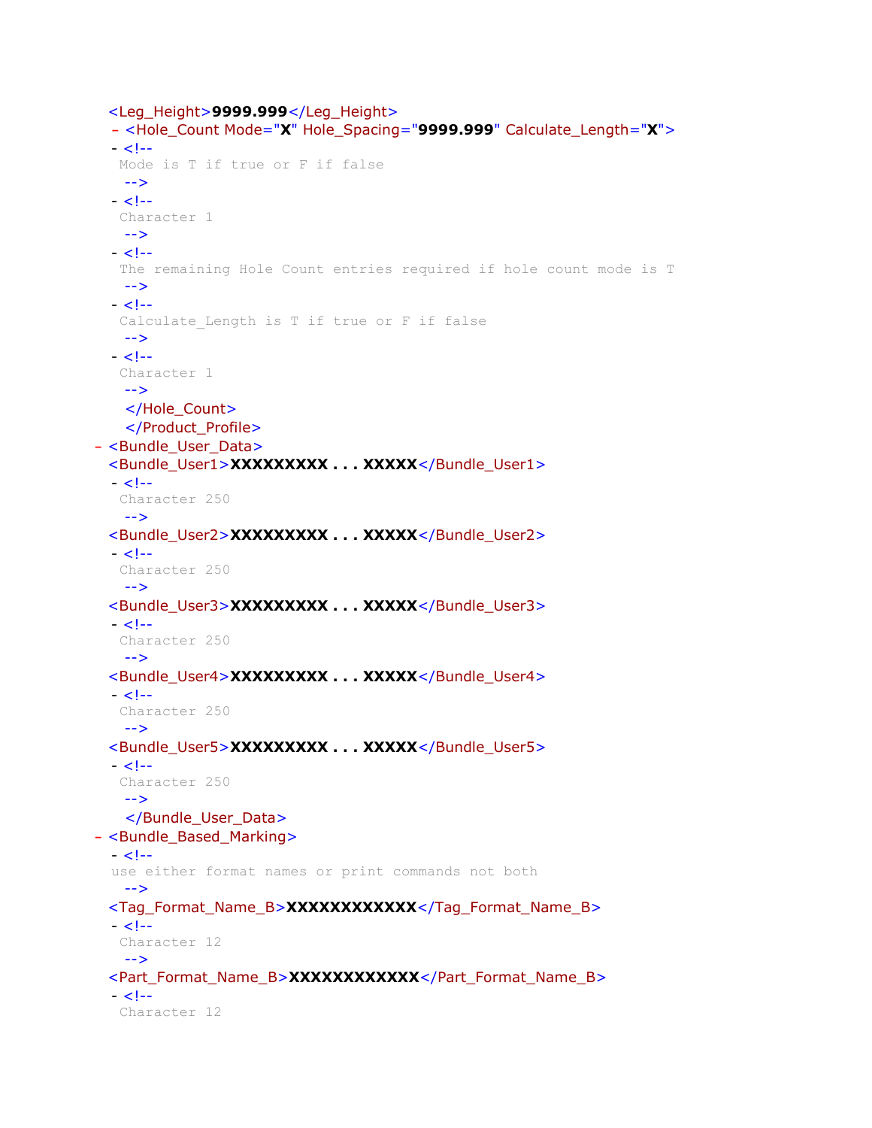```
<Leg_Height>9999.999</Leg_Height> 
  - <Hole_Count Mode="X" Hole_Spacing="9999.999" Calculate_Length="X">
  - < 1 - Mode is T if true or F if false 
   --> 
  - < 1 - Character 1 
   --> 
  - <!- The remaining Hole Count entries required if hole count mode is T 
   --> 
 - <!-Calculate Length is T if true or F if false
   --> 
  - <!- Character 1 
   --> 
   </Hole_Count>
   </Product_Profile>
- <Bundle_User_Data>
 <Bundle_User1>XXXXXXXXX . . . XXXXX</Bundle_User1> 
 - < 1 - Character 250 
   --> 
 <Bundle_User2>XXXXXXXXX . . . XXXXX</Bundle_User2> 
  - < 1 - Character 250 
   --> 
 <Bundle_User3>XXXXXXXXX . . . XXXXX</Bundle_User3> 
  - <!- Character 250 
   --> 
 <Bundle_User4>XXXXXXXXX . . . XXXXX</Bundle_User4> 
 - < 1 - Character 250 
   --> 
 <Bundle_User5>XXXXXXXXX . . . XXXXX</Bundle_User5> 
  - < 1 - Character 250 
   --> 
   </Bundle_User_Data>
- <Bundle_Based_Marking>
 - <!-use either format names or print commands not both 
   --> 
 <Tag_Format_Name_B>XXXXXXXXXXXX</Tag_Format_Name_B> 
  - < 1 - Character 12 
   --> 
 <Part_Format_Name_B>XXXXXXXXXXXX</Part_Format_Name_B> 
 - <!- Character 12
```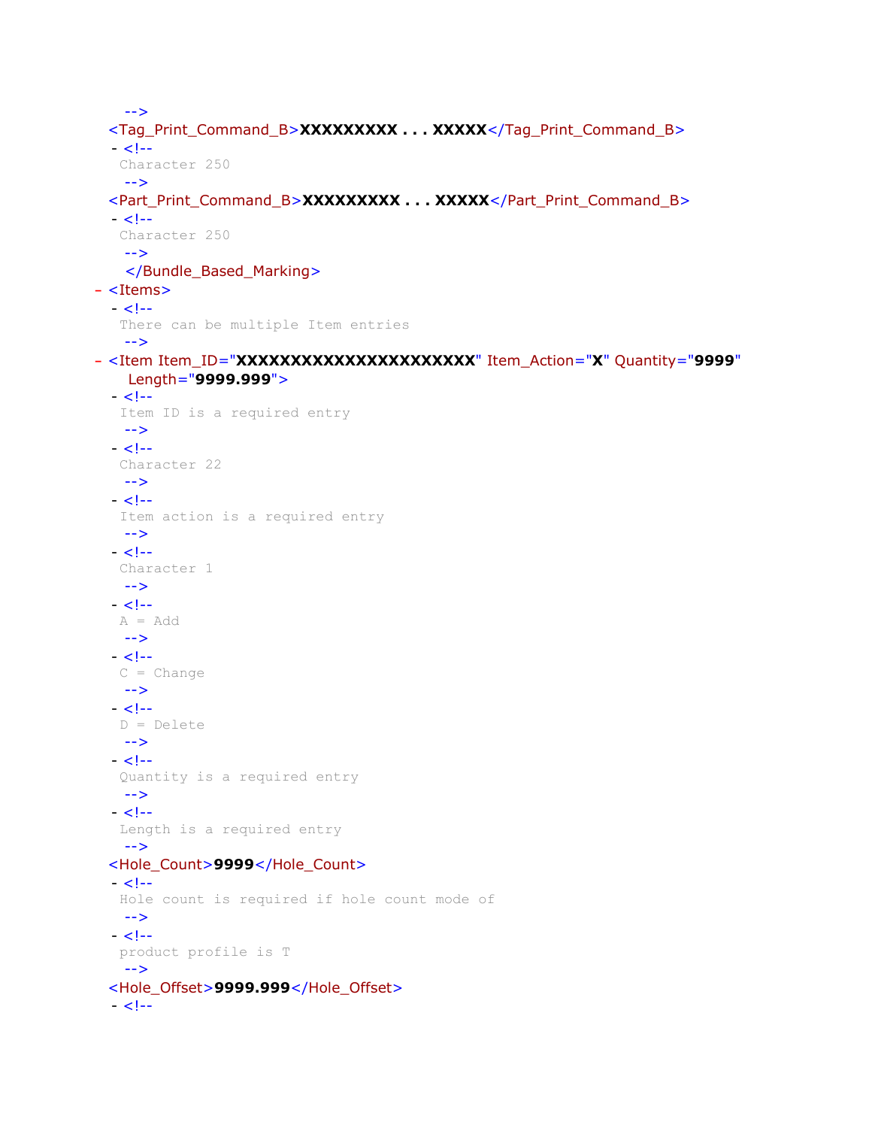```
--> 
 <Tag_Print_Command_B>XXXXXXXXX . . . XXXXX</Tag_Print_Command_B> 
  - < 1 - Character 250 
   --> 
 <Part_Print_Command_B>XXXXXXXXX . . . XXXXX</Part_Print_Command_B> 
  - < 1 - Character 250 
   --> 
   </Bundle_Based_Marking>
- <Items>
  - < 1 - There can be multiple Item entries 
   --> 
- <Item Item_ID="XXXXXXXXXXXXXXXXXXXXXX" Item_Action="X" Quantity="9999"
    Length="9999.999">
  - < 1 - Item ID is a required entry 
   --> 
  - < 1 - Character 22 
   --> 
  - < 1 - - Item action is a required entry 
   --> 
  - < 1 - Character 1 
   --> 
  - < 1 -A = Add--> 
  - < 1 -C = Change--> 
  - < 1 - D = Delete 
   --> 
  - < 1 - Quantity is a required entry 
   --> 
  - < 1 - Length is a required entry 
   --> 
 <Hole_Count>9999</Hole_Count> 
  - < 1 - Hole count is required if hole count mode of 
   --> 
  - <!- product profile is T 
   --> 
 <Hole_Offset>9999.999</Hole_Offset> 
  - < 1 -
```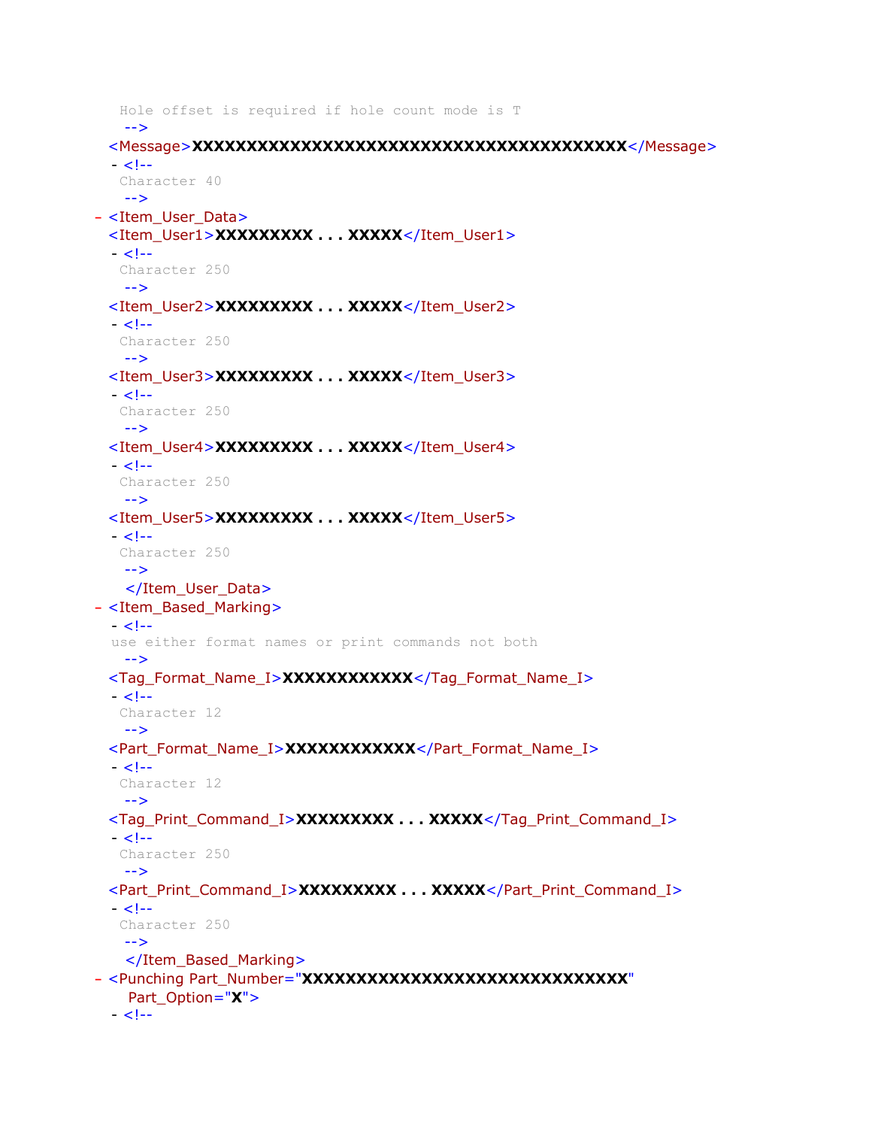```
 Hole offset is required if hole count mode is T 
   --> 
 <Message>XXXXXXXXXXXXXXXXXXXXXXXXXXXXXXXXXXXXXXXX</Message> 
  - <!- Character 40 
   --> 
- <Item_User_Data>
 <Item_User1>XXXXXXXXX . . . XXXXX</Item_User1> 
  - < 1 - Character 250 
   --> 
 <Item_User2>XXXXXXXXX . . . XXXXX</Item_User2> 
  - < 1 - Character 250 
   --> 
 <Item_User3>XXXXXXXXX . . . XXXXX</Item_User3> 
 - < 1 - Character 250 
   --> 
 <Item_User4>XXXXXXXXX . . . XXXXX</Item_User4> 
  - <!- Character 250 
   --> 
 <Item_User5>XXXXXXXXX . . . XXXXX</Item_User5> 
 - < 1 - Character 250 
   --> 
   </Item_User_Data>
- <Item_Based_Marking>
 - < 1 -use either format names or print commands not both 
   --> 
 <Tag_Format_Name_I>XXXXXXXXXXXX</Tag_Format_Name_I> 
 - < 1 - Character 12 
   --> 
 <Part_Format_Name_I>XXXXXXXXXXXX</Part_Format_Name_I> 
  - < 1 - Character 12 
   --> 
 <Tag_Print_Command_I>XXXXXXXXX . . . XXXXX</Tag_Print_Command_I> 
  - < 1 - Character 250 
   --> 
 <Part_Print_Command_I>XXXXXXXXX . . . XXXXX</Part_Print_Command_I> 
 - < 1 - - Character 250 
   --> 
   </Item_Based_Marking>
- <Punching Part_Number="XXXXXXXXXXXXXXXXXXXXXXXXXXXXXX"
    Part_Option="X">
 - <!-
```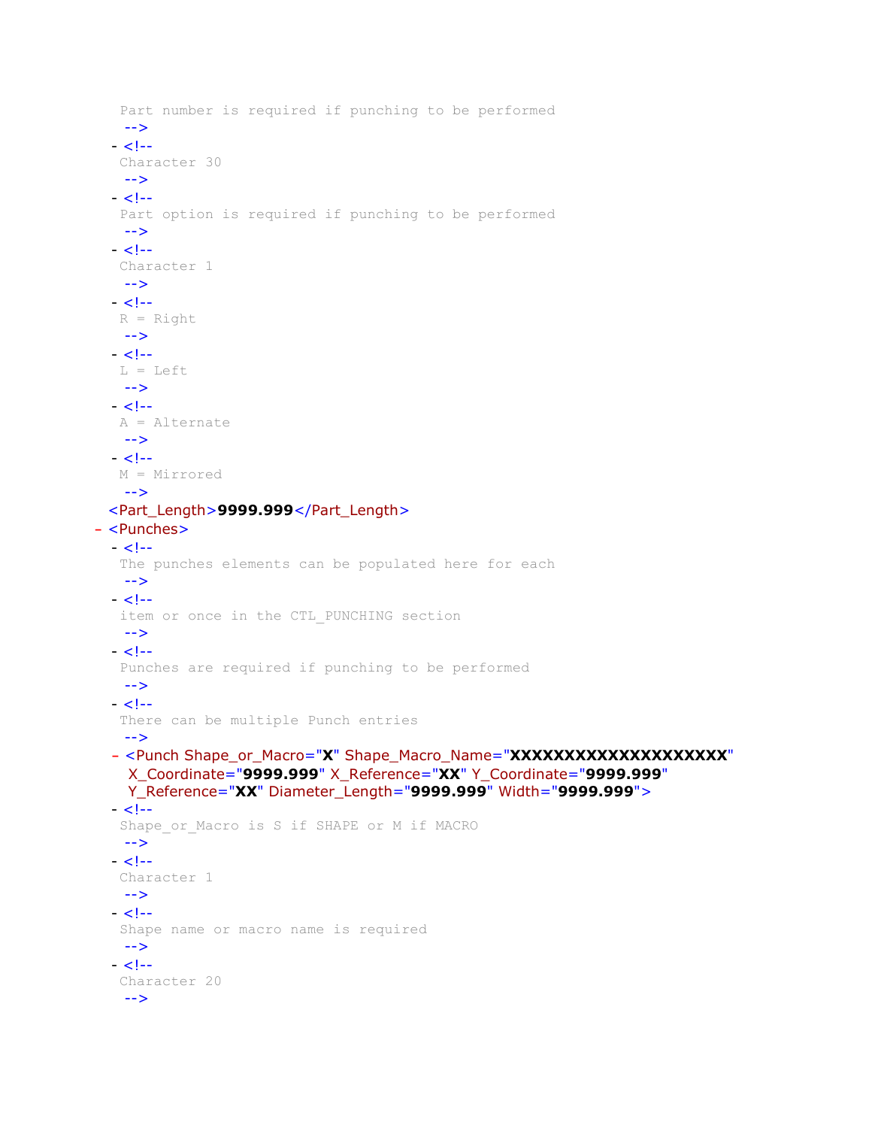```
 Part number is required if punching to be performed 
   --> 
  - < 1 - Character 30 
   --> 
  - < 1 - Part option is required if punching to be performed 
   --> 
  - < 1 - Character 1 
   --> 
  - < 1 -R = Right--> 
  - < 1 - L = Left 
   --> 
  - < 1 - A = Alternate 
   --> 
  - < 1 - M = Mirrored 
   --> 
 <Part_Length>9999.999</Part_Length> 
- <Punches>
  - \lt!!--
    The punches elements can be populated here for each 
   --> 
  - < 1 - item or once in the CTL_PUNCHING section 
   --> 
  - < 1 - Punches are required if punching to be performed 
   --> 
  - < 1 - There can be multiple Punch entries 
   --> 
  - <Punch Shape_or_Macro="X" Shape_Macro_Name="XXXXXXXXXXXXXXXXXXXX"
    X_Coordinate="9999.999" X_Reference="XX" Y_Coordinate="9999.999"
    Y_Reference="XX" Diameter_Length="9999.999" Width="9999.999">
  - < 1 -Shape or Macro is S if SHAPE or M if MACRO
   --> 
  - < 1 - Character 1 
   --> 
  - <!- Shape name or macro name is required 
   --> 
  - <!- Character 20 
   -->
```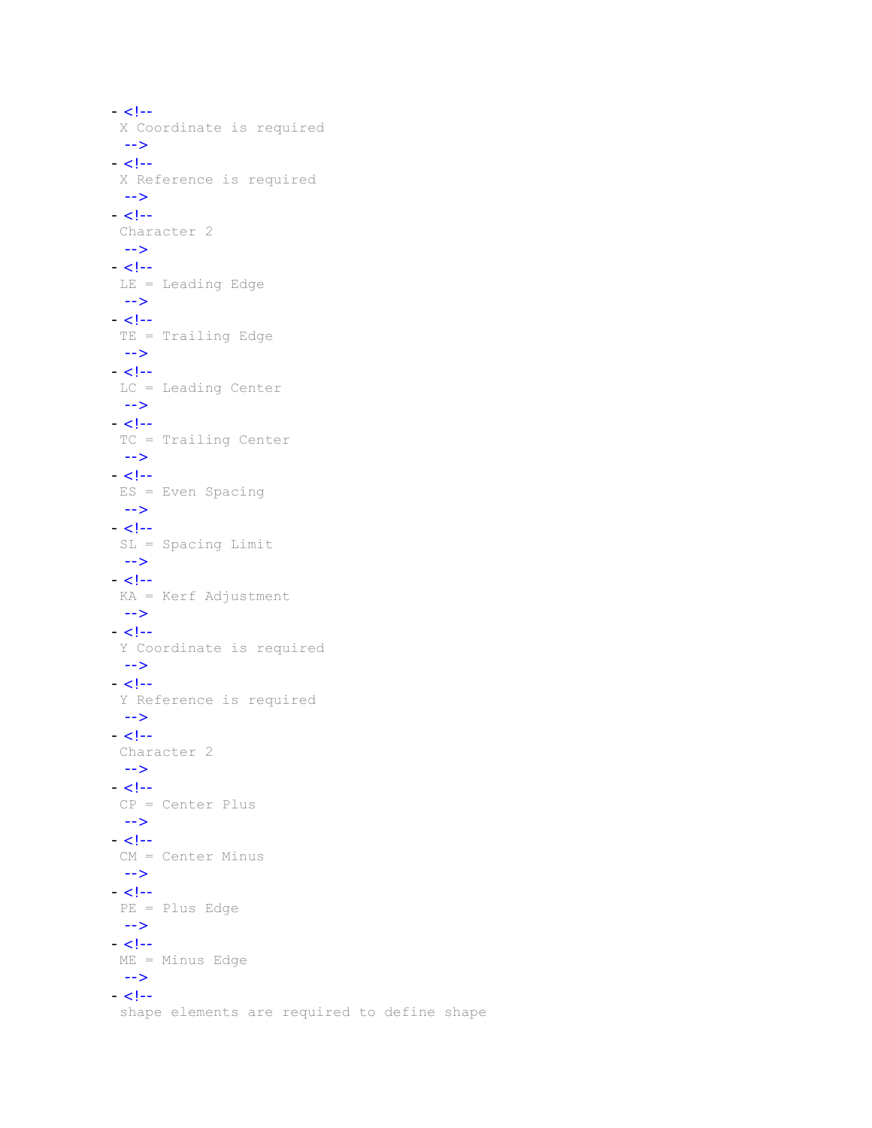```
- <!- X Coordinate is required 
 --> 
- < 1 - X Reference is required 
 --> 
- < 1 - Character 2 
 --> 
- < 1 - LE = Leading Edge 
 --> 
- < 1 - TE = Trailing Edge 
 --> 
- <!- LC = Leading Center 
 --> 
- <!- TC = Trailing Center 
 --> 
- < 1 - ES = Even Spacing 
 --> 
- < 1 - SL = Spacing Limit 
 --> 
- <!- KA = Kerf Adjustment 
--> 
- <!- Y Coordinate is required 
 --> 
- <!- Y Reference is required 
 --> 
- < 1 - Character 2 
 --> 
- <!- CP = Center Plus 
 --> 
- < 1 - 1 CM = Center Minus 
 --> 
- < !-- PE = Plus Edge 
 --> 
- < 1 - ME = Minus Edge 
 --> 
- <!- shape elements are required to define shape
```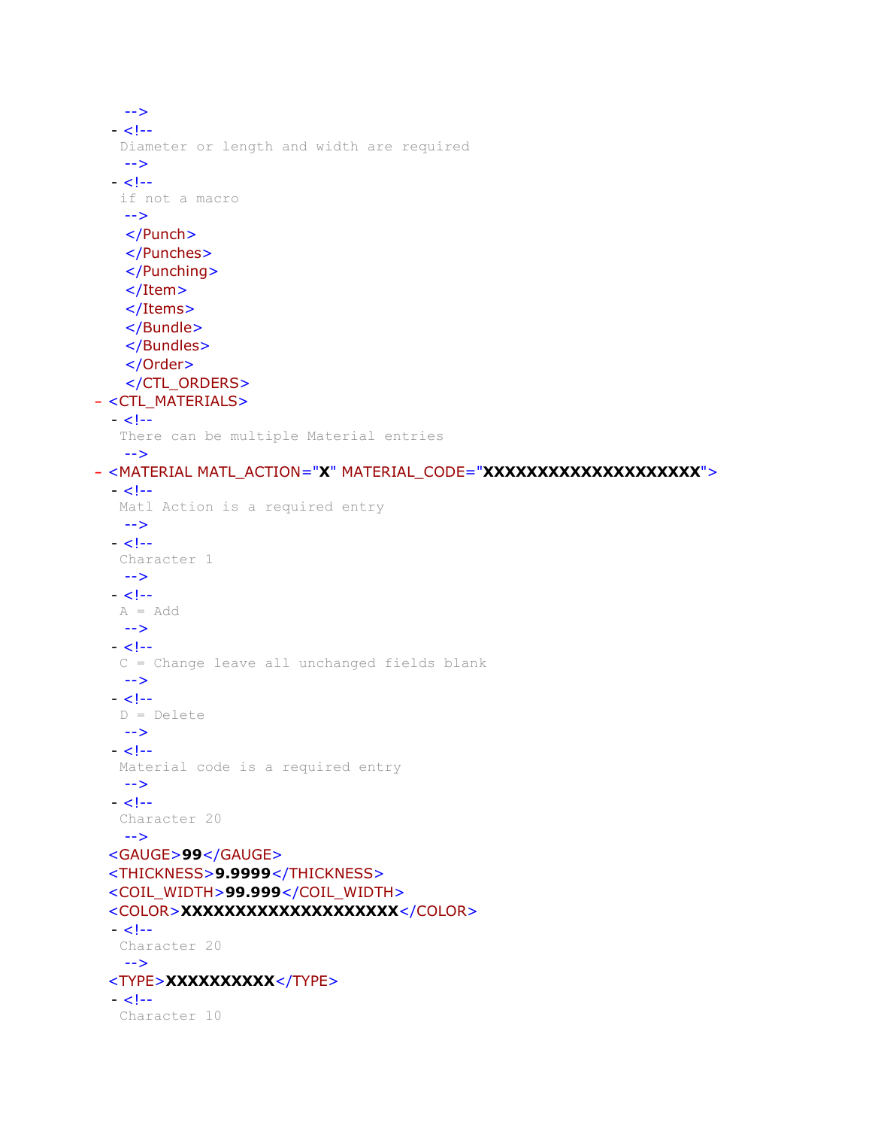```
--> 
  - < 1 - Diameter or length and width are required 
   --> 
 - < 1 - - if not a macro 
   --> 
   </Punch>
   </Punches>
   </Punching>
   </Item>
   </Items>
   </Bundle>
   </Bundles>
   </Order>
   </CTL_ORDERS>
- <CTL_MATERIALS>
 - < 1 - There can be multiple Material entries 
   --> 
- <MATERIAL MATL_ACTION="X" MATERIAL_CODE="XXXXXXXXXXXXXXXXXXXX">
  - < 1--
   Matl Action is a required entry 
   --> 
  - < 1 - Character 1 
   --> 
 - < 1 - A = Add 
   --> 
  - < 1 - C = Change leave all unchanged fields blank 
   --> 
  - < 1 - D = Delete 
   --> 
  - < 1 - Material code is a required entry 
   --> 
  - < 1 - Character 20 
   --> 
 <GAUGE>99</GAUGE> 
 <THICKNESS>9.9999</THICKNESS> 
 <COIL_WIDTH>99.999</COIL_WIDTH> 
 <COLOR>XXXXXXXXXXXXXXXXXXXX</COLOR> 
  - < 1 - Character 20 
   --> 
 <TYPE>XXXXXXXXXX</TYPE> 
 - < 1 - Character 10
```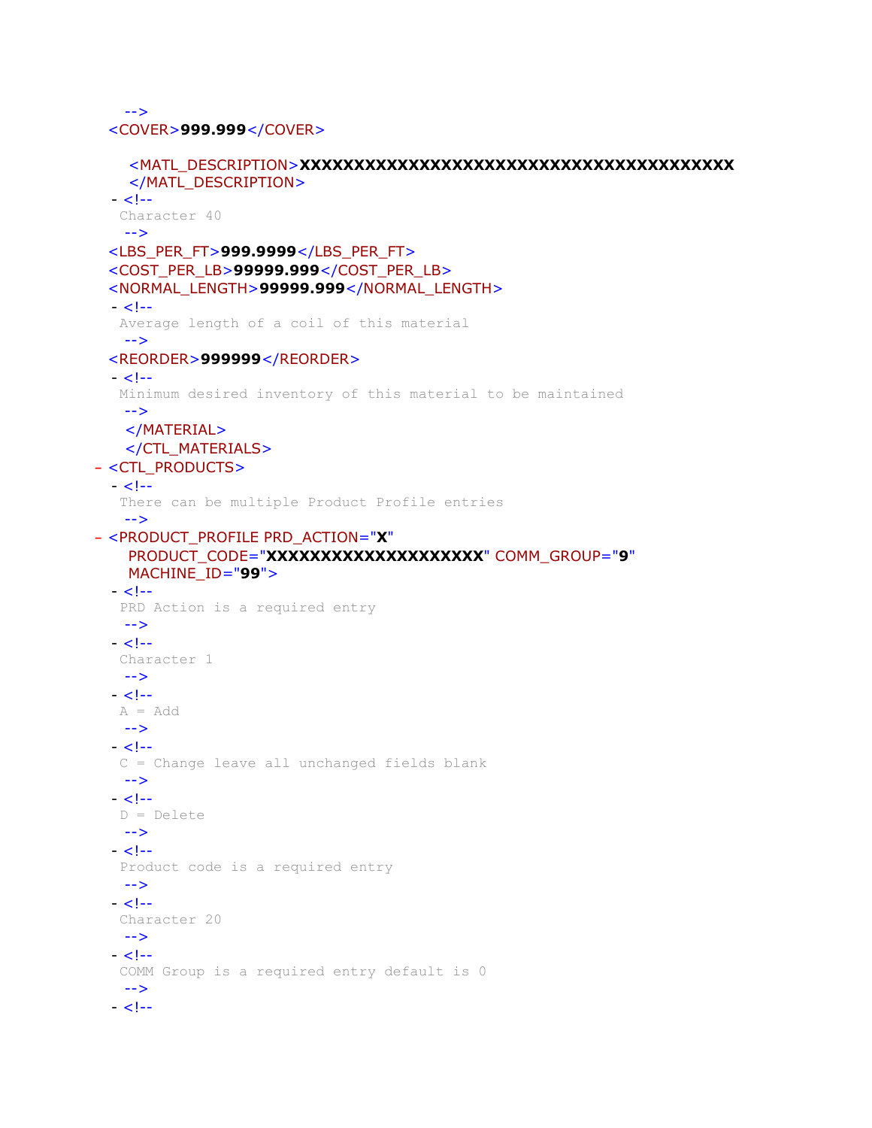-->

<COVER>**999.999**</COVER>

```
<MATL_DESCRIPTION>XXXXXXXXXXXXXXXXXXXXXXXXXXXXXXXXXXXXXXXX
    </MATL_DESCRIPTION> 
  - < 1 - Character 40 
   --> 
 <LBS_PER_FT>999.9999</LBS_PER_FT> 
 <COST_PER_LB>99999.999</COST_PER_LB> 
 <NORMAL_LENGTH>99999.999</NORMAL_LENGTH> 
 - < 1 - Average length of a coil of this material 
   --> 
 <REORDER>999999</REORDER> 
  - < 1 - Minimum desired inventory of this material to be maintained 
   --> 
   </MATERIAL>
   </CTL_MATERIALS>
- <CTL_PRODUCTS>
 - < 1 - There can be multiple Product Profile entries 
   --> 
- <PRODUCT_PROFILE PRD_ACTION="X"
   PRODUCT_CODE="XXXXXXXXXXXXXXXXXXXX" COMM_GROUP="9"
   MACHINE_ID="99">
  - < 1--
   PRD Action is a required entry 
   --> 
  - < 1 - Character 1 
   --> 
 - < 1 -A = Add--> 
  - < 1 - C = Change leave all unchanged fields blank 
   --> 
  - < 1 - D = Delete 
   --> 
  - < 1 - Product code is a required entry 
   --> 
 - < 1 - Character 20 
  --> 
  - <!- COMM Group is a required entry default is 0 
   --> 
  - < 1 -
```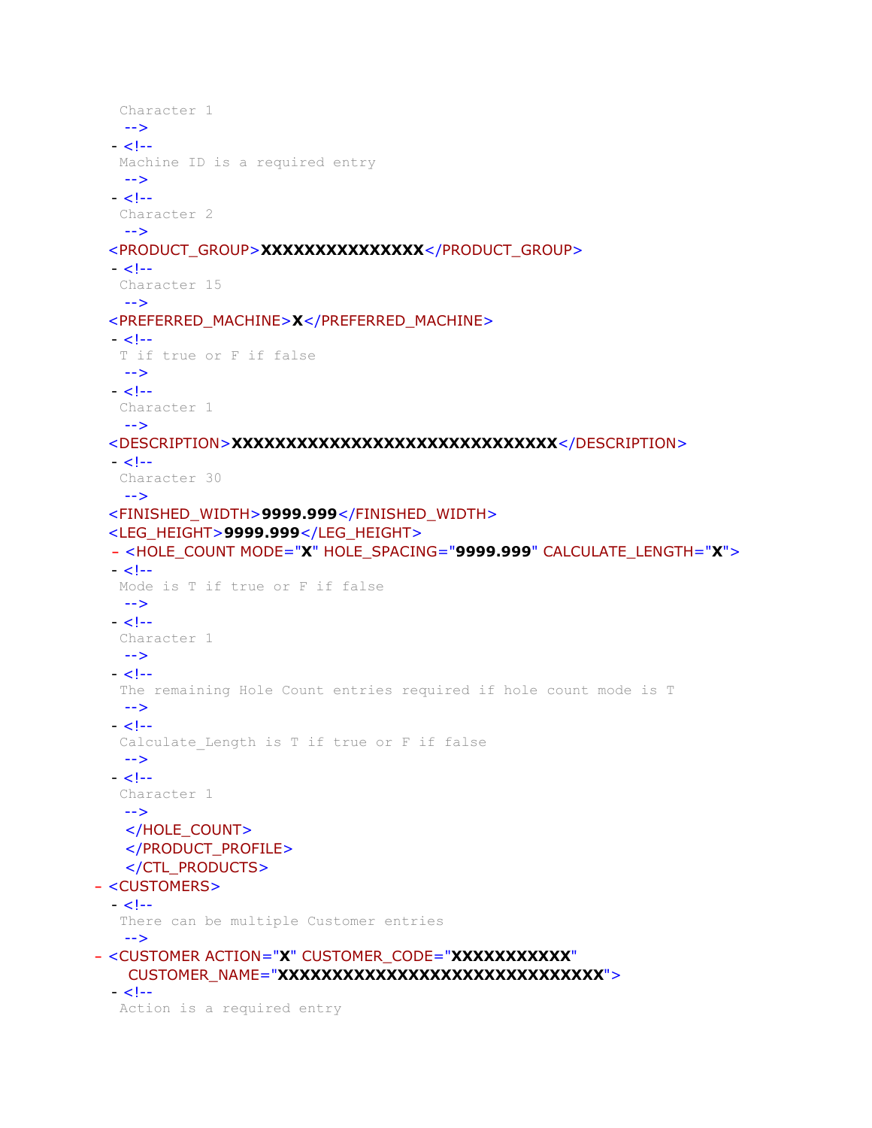```
 Character 1 
   --> 
  - < 1 - Machine ID is a required entry 
   --> 
  - < 1 - Character 2 
   --> 
 <PRODUCT_GROUP>XXXXXXXXXXXXXXX</PRODUCT_GROUP> 
 - < 1 - Character 15 
   --> 
 <PREFERRED_MACHINE>X</PREFERRED_MACHINE> 
  - < 1 - T if true or F if false 
   --> 
  - < 1 - Character 1 
   --> 
 <DESCRIPTION>XXXXXXXXXXXXXXXXXXXXXXXXXXXXXX</DESCRIPTION> 
  - <!- Character 30 
   --> 
 <FINISHED_WIDTH>9999.999</FINISHED_WIDTH> 
 <LEG_HEIGHT>9999.999</LEG_HEIGHT> 
 - <HOLE_COUNT MODE="X" HOLE_SPACING="9999.999" CALCULATE_LENGTH="X">
  - <!- Mode is T if true or F if false 
   --> 
 - < 1 - 1 Character 1 
   --> 
  - < 1 - The remaining Hole Count entries required if hole count mode is T 
   --> 
 - <!-Calculate Length is T if true or F if false
   --> 
  - < 1 - Character 1 
   --> 
   </HOLE_COUNT>
   </PRODUCT_PROFILE>
   </CTL_PRODUCTS>
- <CUSTOMERS>
 - < 1 - There can be multiple Customer entries 
   --> 
- <CUSTOMER ACTION="X" CUSTOMER_CODE="XXXXXXXXXXX"
   CUSTOMER_NAME="XXXXXXXXXXXXXXXXXXXXXXXXXXXXXXXXX">
  - <!- Action is a required entry
```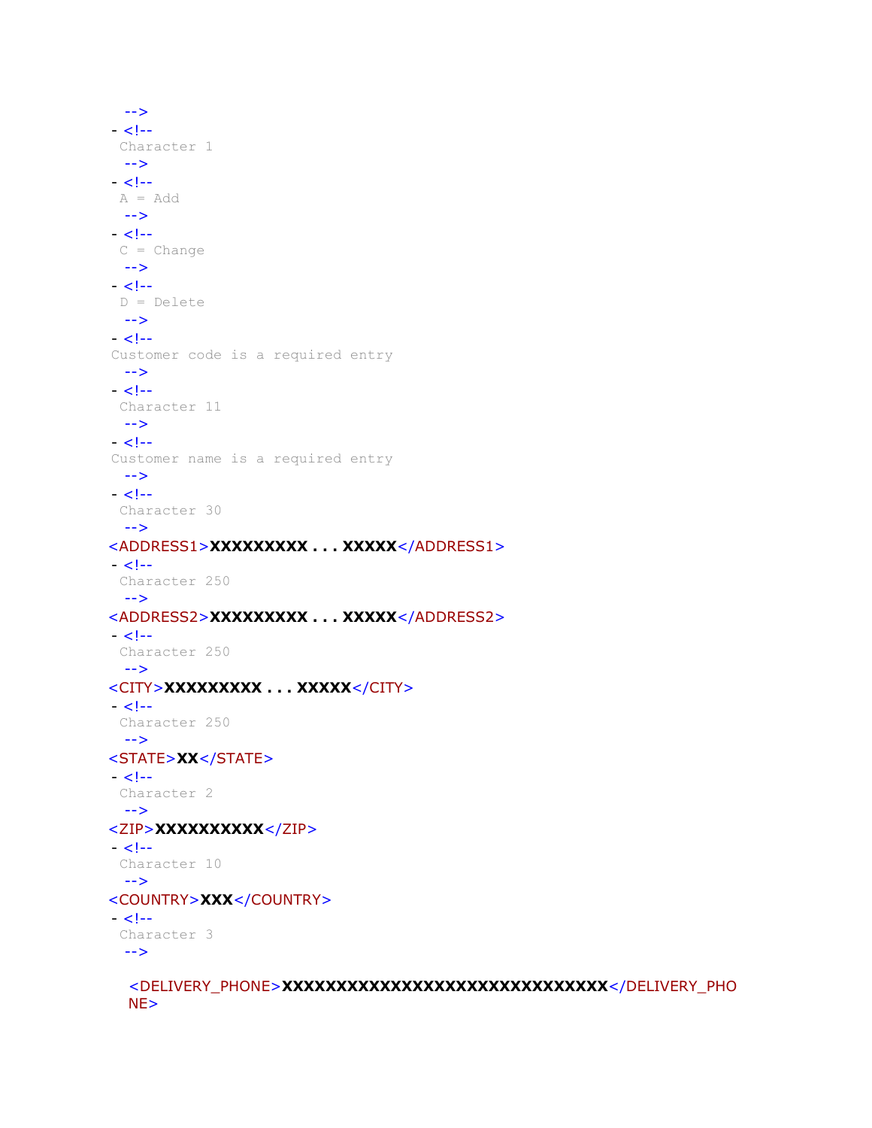```
--> 
- < 1 - - Character 1 
 --> 
- < 1 - - A = Add 
 --> 
- < 1 -C = Change--> 
- < 1 - D = Delete 
 --> 
- < 1 -Customer code is a required entry 
 --> 
- < 1 - Character 11 
 --> 
- < 1 -Customer name is a required entry 
 --> 
- < 1 - Character 30 
 --> 
<ADDRESS1>XXXXXXXXX . . . XXXXX</ADDRESS1> 
- < 1 - Character 250 
 --> 
<ADDRESS2>XXXXXXXXX . . . XXXXX</ADDRESS2> 
- < 1 - Character 250 
 --> 
<CITY>XXXXXXXXX . . . XXXXX</CITY> 
- < 1 - Character 250 
 --> 
<STATE>XX</STATE> 
- < 1 - Character 2 
 --> 
<ZIP>XXXXXXXXXX</ZIP> 
- < 1 - Character 10 
 --> 
<COUNTRY>XXX</COUNTRY> 
- < 1 - Character 3 
 --> 
  <DELIVERY_PHONE>XXXXXXXXXXXXXXXXXXXXXXXXXXXXXX</DELIVERY_PHO
  NE>
```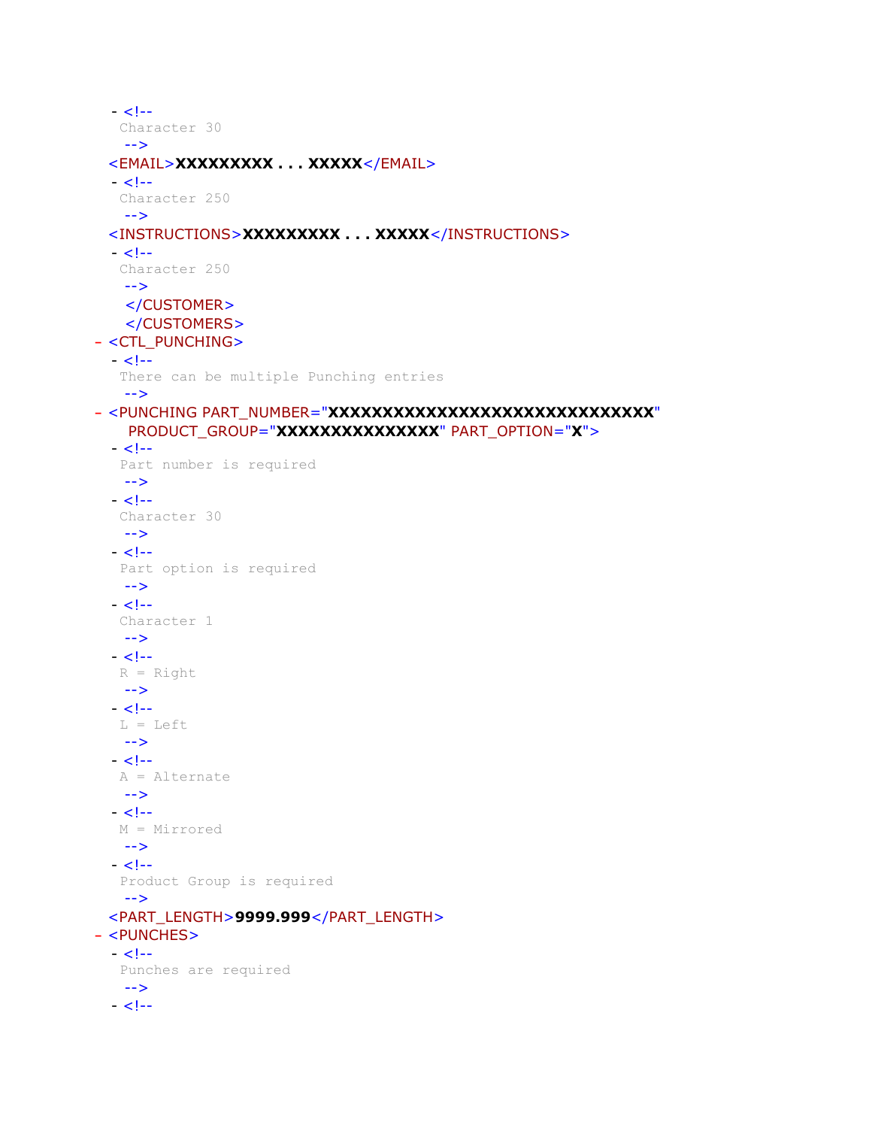```
- <!- Character 30 
   --> 
 <EMAIL>XXXXXXXXX . . . XXXXX</EMAIL> 
 - < 1 - Character 250 
   --> 
 <INSTRUCTIONS>XXXXXXXXX . . . XXXXX</INSTRUCTIONS> 
 - <!- Character 250 
   --> 
   </CUSTOMER>
   </CUSTOMERS>
- <CTL_PUNCHING>
 - < 1 - There can be multiple Punching entries 
   --> 
- <PUNCHING PART_NUMBER="XXXXXXXXXXXXXXXXXXXXXXXXXXXXXX"
   PRODUCT_GROUP="XXXXXXXXXXXXXXX" PART_OPTION="X">
 - < 1 - Part number is required 
   --> 
 - < 1 - Character 30 
   --> 
  - < 1- Part option is required 
   --> 
 - < 1 - Character 1 
  --> 
  - < 1 -R = Right--> 
 - < 1 - L = Left 
  --> 
  - < 1 - A = Alternate 
   --> 
  - < 1 - M = Mirrored 
   --> 
  - < 1 - Product Group is required 
   --> 
 <PART_LENGTH>9999.999</PART_LENGTH> 
- <PUNCHES>
 - < 1 - Punches are required 
  --> 
 - < 1 -
```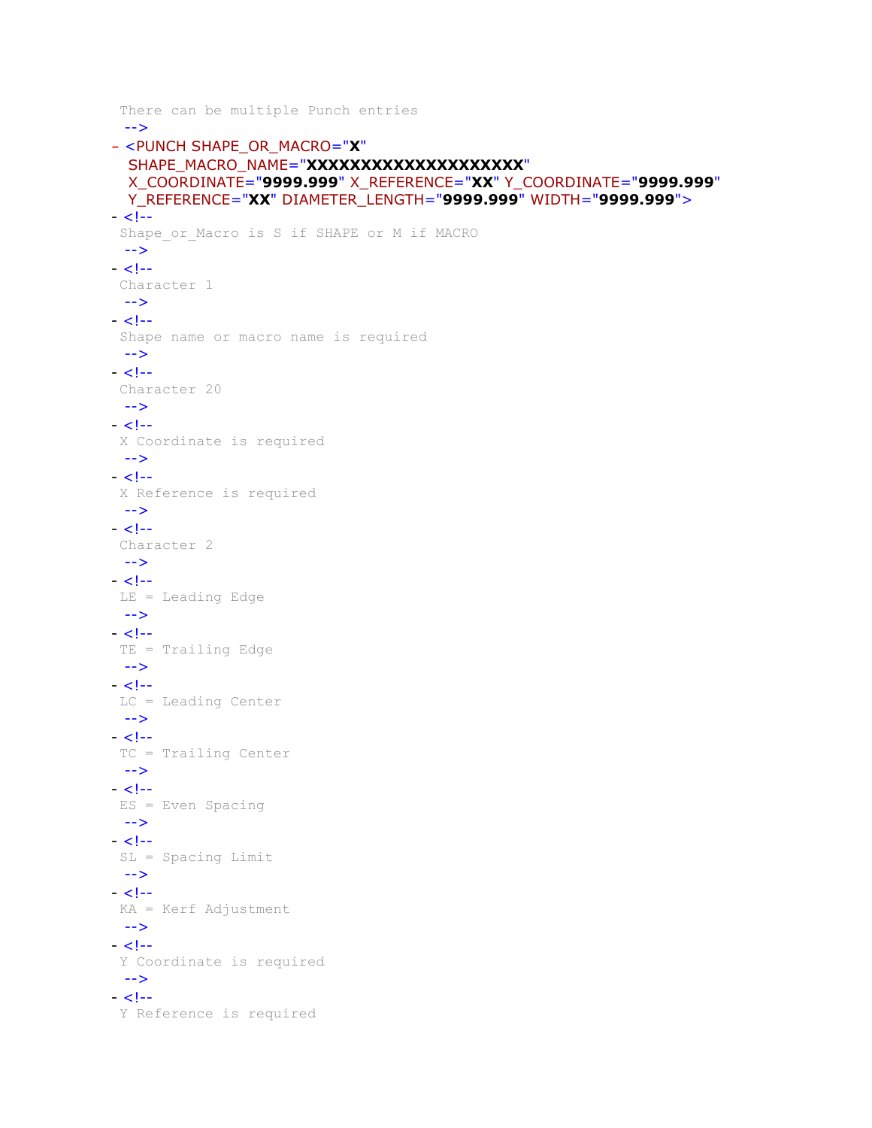```
 There can be multiple Punch entries 
 --> 
- <PUNCH SHAPE_OR_MACRO="X"
  SHAPE_MACRO_NAME="XXXXXXXXXXXXXXXXXXXXX"
  X_COORDINATE="9999.999" X_REFERENCE="XX" Y_COORDINATE="9999.999"
 Y_REFERENCE="XX" DIAMETER_LENGTH="9999.999" WIDTH="9999.999">
- <!-Shape or Macro is S if SHAPE or M if MACRO
 --> 
- < 1 - Character 1 
 --> 
- < 1 - - Shape name or macro name is required 
 --> 
- <!- Character 20 
 --> 
- < 1 - - X Coordinate is required 
 --> 
- < 1 - X Reference is required 
 --> 
- < 1 - Character 2 
--> 
- < 1 - LE = Leading Edge 
 --> 
- < 1 - TE = Trailing Edge 
 --> 
- < 1 - 1 LC = Leading Center 
 --> 
- < 1 - TC = Trailing Center 
 --> 
- < 1 - 1 ES = Even Spacing 
 --> 
- < 1 - SL = Spacing Limit 
 --> 
- < 1 - KA = Kerf Adjustment 
 --> 
- < 1 - Y Coordinate is required 
 --> 
- < 1 - Y Reference is required
```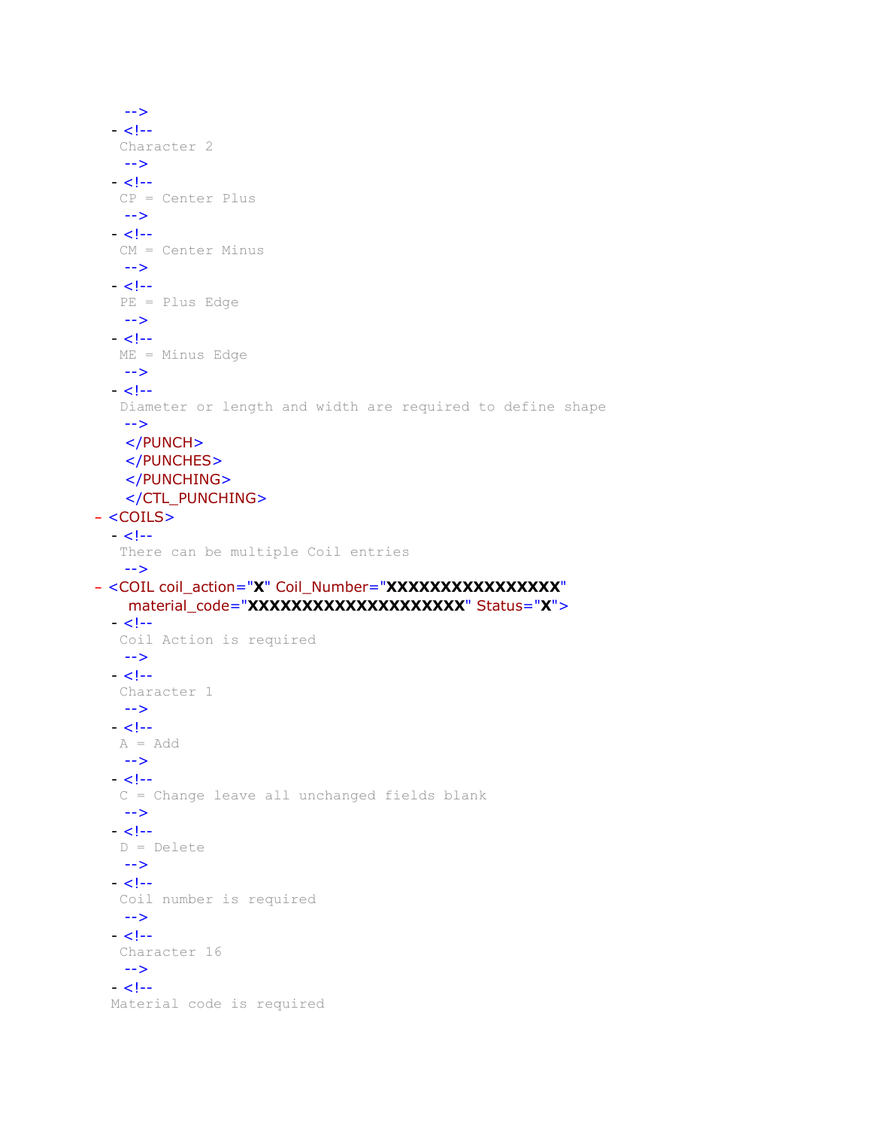```
--> 
  - < 1 - Character 2 
   --> 
  - < 1 - CP = Center Plus 
   --> 
  - < 1 - 1 CM = Center Minus 
   --> 
  - < 1 - PE = Plus Edge 
   --> 
  - < 1 - ME = Minus Edge 
   --> 
  - < 1 - Diameter or length and width are required to define shape 
   --> 
   </PUNCH>
   </PUNCHES>
    </PUNCHING>
    </CTL_PUNCHING>
- <COILS>
  - < 1 - There can be multiple Coil entries 
   --> 
- <COIL coil_action="X" Coil_Number="XXXXXXXXXXXXXXXX"
    material_code="XXXXXXXXXXXXXXXXXXXX" Status="X">
  - < 1 - 1 Coil Action is required 
   --> 
  - < 1 - Character 1 
   --> 
  - < 1 - A = Add 
   --> 
  - < 1 - C = Change leave all unchanged fields blank 
   --> 
  - < 1 - D = Delete 
   --> 
  - < 1 - Coil number is required 
   --> 
  - < 1 - Character 16 
   --> 
  - <!-Material code is required
```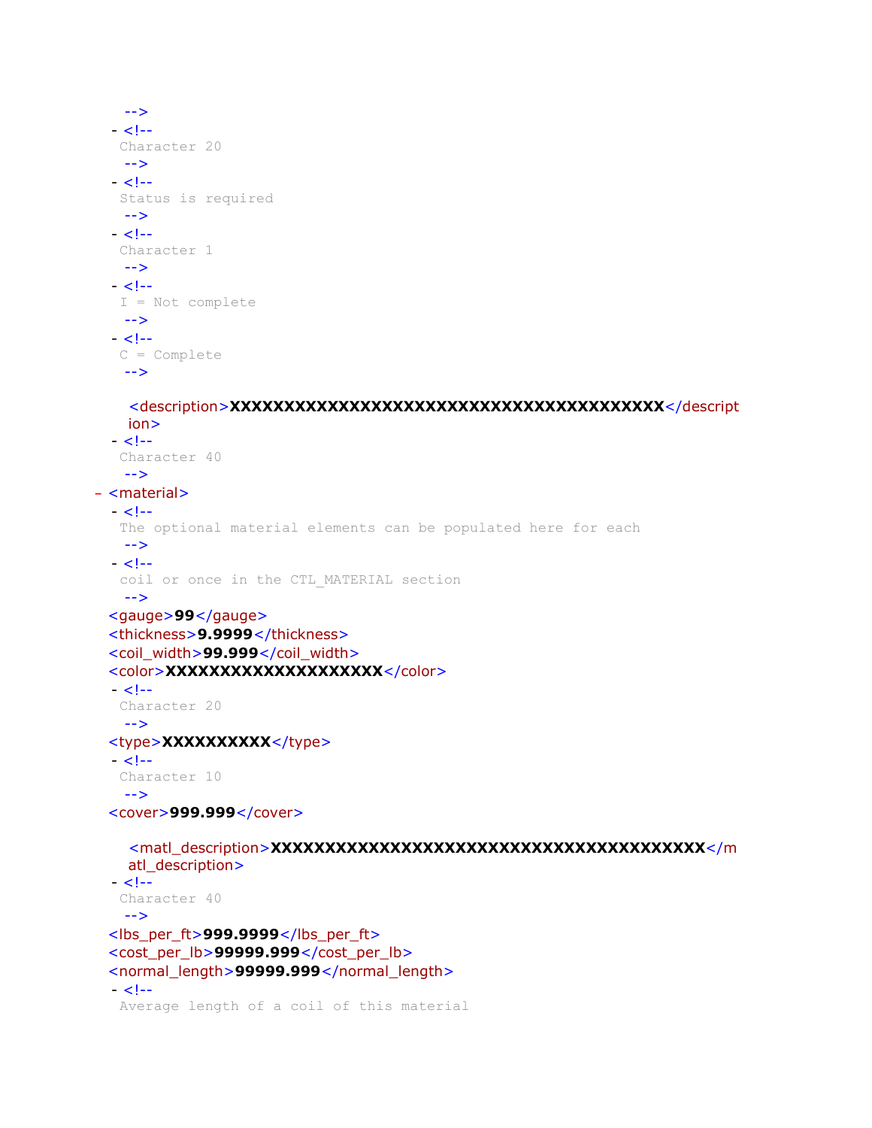```
--> 
  - < 1 - Character 20 
   --> 
 - <!-- Status is required 
   --> 
  - < 1 - 1 Character 1 
   --> 
 - <!- I = Not complete 
   --> 
  - <!- C = Complete 
   --> 
    <description>XXXXXXXXXXXXXXXXXXXXXXXXXXXXXXXXXXXXXXXX</descript
   ion> 
  - < 1 - Character 40 
   --> 
- <material>
 - < 1 - The optional material elements can be populated here for each 
   --> 
 - <!- coil or once in the CTL_MATERIAL section 
   --> 
 <gauge>99</gauge> 
 <thickness>9.9999</thickness> 
 <coil_width>99.999</coil_width>
 <color>XXXXXXXXXXXXXXXXXXXX</color> 
  - < 1 - Character 20 
   --> 
 <type>XXXXXXXXX</type>
  - < 1 - Character 10 
   --> 
 <cover>999.999</cover> 
    <matl_description>XXXXXXXXXXXXXXXXXXXXXXXXXXXXXXXXXXXXXXXX</m
   atl_description> 
  - < 1 - Character 40 
   --> 
 <lbs_per_ft>999.9999</lbs_per_ft> 
 <cost_per_lb>99999.999</cost_per_lb> 
 <normal_length>99999.999</normal_length> 
  - < 1 - Average length of a coil of this material
```